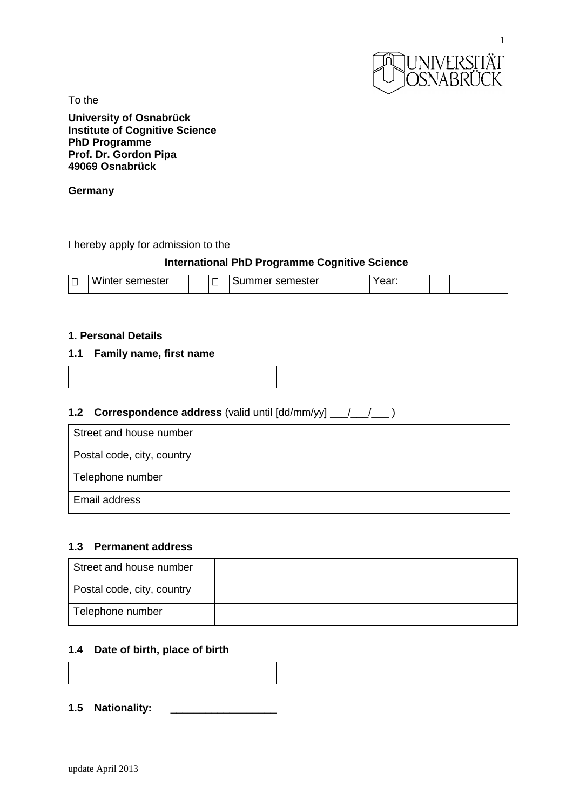

To the

**University of Osnabrück Institute of Cognitive Science PhD Programme Prof. Dr. Gordon Pipa 49069 Osnabrück**

#### **Germany**

I hereby apply for admission to the

# **International PhD Programme Cognitive Science**

|  | Winter semester |  |  | Summer semester |  | $\sim$<br>. саг. |  |  |  |  |  |
|--|-----------------|--|--|-----------------|--|------------------|--|--|--|--|--|
|--|-----------------|--|--|-----------------|--|------------------|--|--|--|--|--|

## **1. Personal Details**

#### **1.1 Family name, first name**

# **1.2 Correspondence address** (valid until [dd/mm/yy] \_\_\_/\_\_\_/\_\_\_ )

| Street and house number    |  |
|----------------------------|--|
| Postal code, city, country |  |
| Telephone number           |  |
| Email address              |  |

### **1.3 Permanent address**

| Street and house number    |  |
|----------------------------|--|
| Postal code, city, country |  |
| Telephone number           |  |

#### **1.4 Date of birth, place of birth**

**1.5 Nationality:** \_\_\_\_\_\_\_\_\_\_\_\_\_\_\_\_\_\_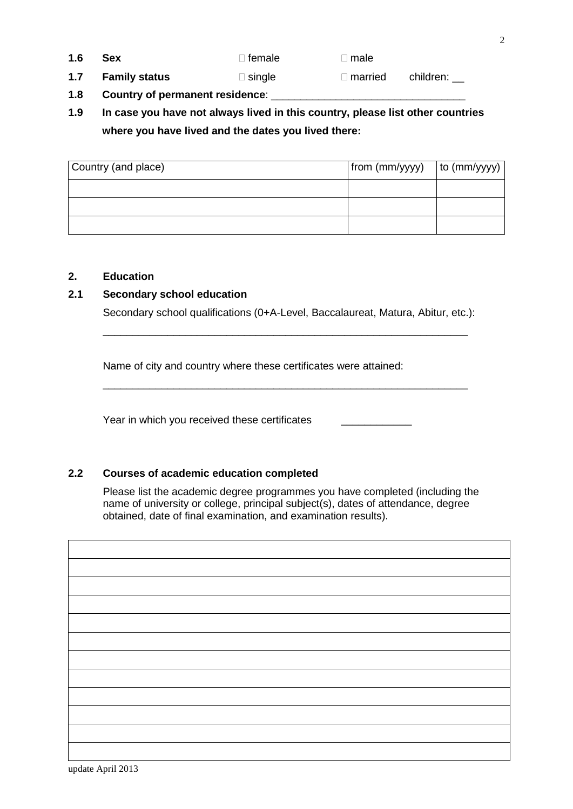**1.6 Sex female n male** 

**1.7 Family status Solution**  $\Box$  single **married** children:

- **1.8 Country of permanent residence**: \_\_\_\_\_\_\_\_\_\_\_\_\_\_\_\_\_\_\_\_\_\_\_\_\_\_\_\_\_\_\_\_\_
- **1.9 In case you have not always lived in this country, please list other countries where you have lived and the dates you lived there:**

| Country (and place) | from (mm/yyyy) | to $(mm/yyyy)$ |
|---------------------|----------------|----------------|
|                     |                |                |
|                     |                |                |
|                     |                |                |

# **2. Education**

# **2.1 Secondary school education**

Secondary school qualifications (0+A-Level, Baccalaureat, Matura, Abitur, etc.):

\_\_\_\_\_\_\_\_\_\_\_\_\_\_\_\_\_\_\_\_\_\_\_\_\_\_\_\_\_\_\_\_\_\_\_\_\_\_\_\_\_\_\_\_\_\_\_\_\_\_\_\_\_\_\_\_\_\_\_\_\_\_

\_\_\_\_\_\_\_\_\_\_\_\_\_\_\_\_\_\_\_\_\_\_\_\_\_\_\_\_\_\_\_\_\_\_\_\_\_\_\_\_\_\_\_\_\_\_\_\_\_\_\_\_\_\_\_\_\_\_\_\_\_\_

Name of city and country where these certificates were attained:

Year in which you received these certificates

# **2.2 Courses of academic education completed**

Please list the academic degree programmes you have completed (including the name of university or college, principal subject(s), dates of attendance, degree obtained, date of final examination, and examination results).

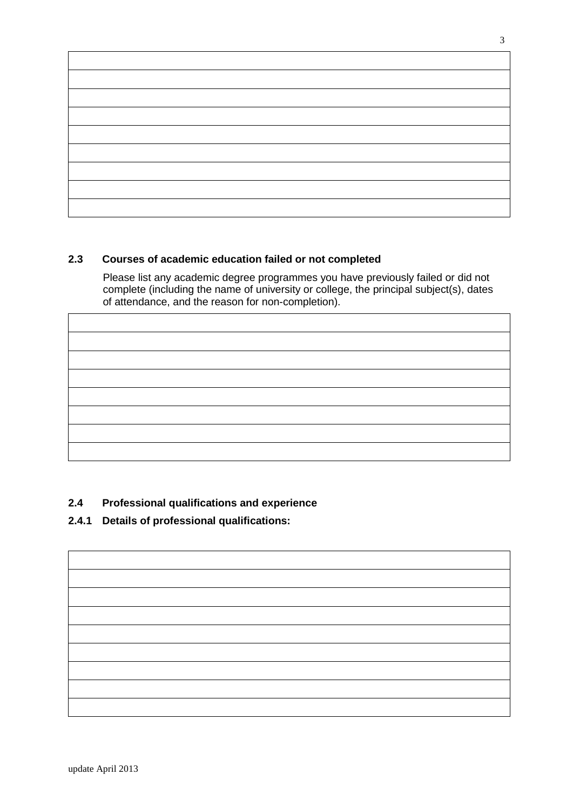

# **2.3 Courses of academic education failed or not completed**

Please list any academic degree programmes you have previously failed or did not complete (including the name of university or college, the principal subject(s), dates of attendance, and the reason for non-completion).

# **2.4 Professional qualifications and experience**

# **2.4.1 Details of professional qualifications:**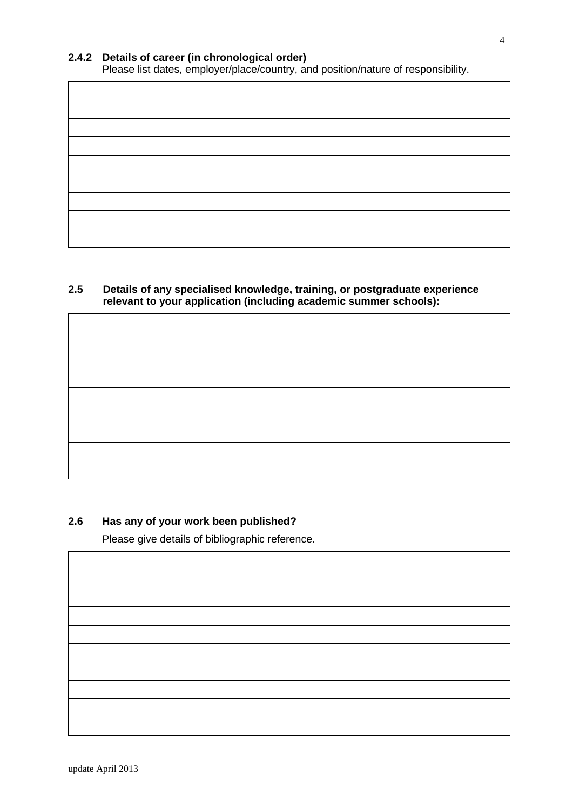# **2.4.2 Details of career (in chronological order)**

Please list dates, employer/place/country, and position/nature of responsibility.

# **2.5 Details of any specialised knowledge, training, or postgraduate experience relevant to your application (including academic summer schools):**

# **2.6 Has any of your work been published?**

Please give details of bibliographic reference.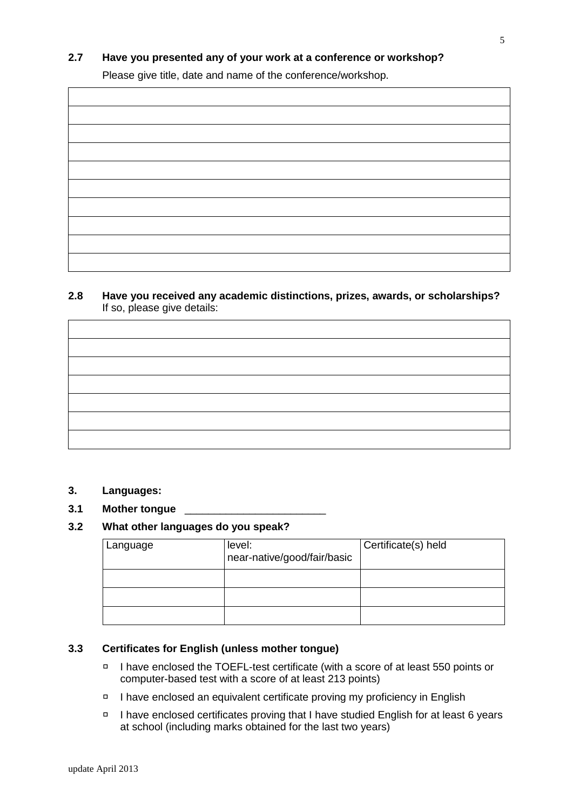# **2.7 Have you presented any of your work at a conference or workshop?**

Please give title, date and name of the conference/workshop.

**2.8 Have you received any academic distinctions, prizes, awards, or scholarships?**  If so, please give details:

#### **3. Languages:**

**3.1 Mother tongue** \_\_\_\_\_\_\_\_\_\_\_\_\_\_\_\_\_\_\_\_\_\_\_\_

# **3.2 What other languages do you speak?**

| Language | level:<br>near-native/good/fair/basic | Certificate(s) held |
|----------|---------------------------------------|---------------------|
|          |                                       |                     |
|          |                                       |                     |
|          |                                       |                     |

# **3.3 Certificates for English (unless mother tongue)**

- $\Box$ I have enclosed the TOEFL-test certificate (with a score of at least 550 points or computer-based test with a score of at least 213 points)
- I have enclosed an equivalent certificate proving my proficiency in English
- □ I have enclosed certificates proving that I have studied English for at least 6 years at school (including marks obtained for the last two years)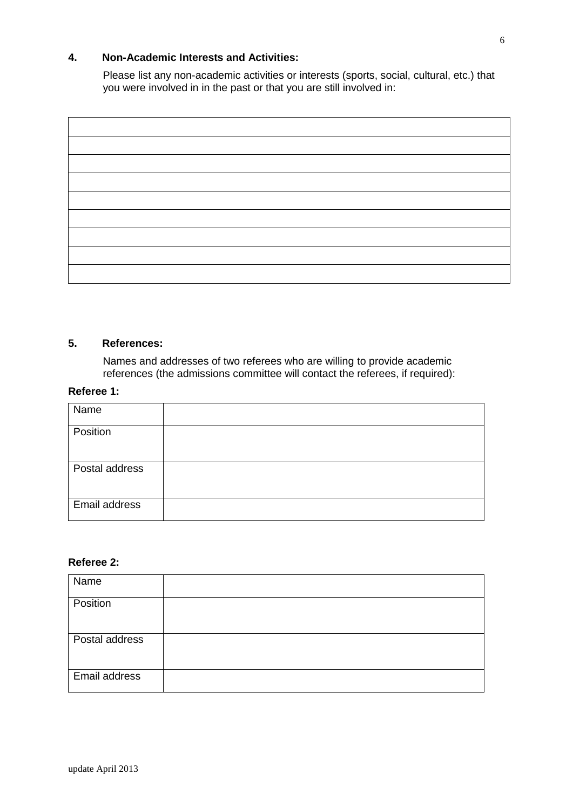## **4. Non-Academic Interests and Activities:**

Please list any non-academic activities or interests (sports, social, cultural, etc.) that you were involved in in the past or that you are still involved in:

| <u> 1989 - Johann Barn, mars ann an t-Amhain Aonaich an t-Aonaich an t-Aonaich an t-Aonaich an t-Aonaich an t-Aon</u>  |  |
|------------------------------------------------------------------------------------------------------------------------|--|
|                                                                                                                        |  |
|                                                                                                                        |  |
|                                                                                                                        |  |
|                                                                                                                        |  |
|                                                                                                                        |  |
|                                                                                                                        |  |
|                                                                                                                        |  |
|                                                                                                                        |  |
|                                                                                                                        |  |
|                                                                                                                        |  |
|                                                                                                                        |  |
|                                                                                                                        |  |
|                                                                                                                        |  |
|                                                                                                                        |  |
|                                                                                                                        |  |
|                                                                                                                        |  |
|                                                                                                                        |  |
|                                                                                                                        |  |
|                                                                                                                        |  |
|                                                                                                                        |  |
|                                                                                                                        |  |
|                                                                                                                        |  |
|                                                                                                                        |  |
|                                                                                                                        |  |
|                                                                                                                        |  |
|                                                                                                                        |  |
|                                                                                                                        |  |
|                                                                                                                        |  |
|                                                                                                                        |  |
| <u> 1989 - Johann Stoff, deutscher Stoffen und der Stoffen und der Stoffen und der Stoffen und der Stoffen und der</u> |  |

## **5. References:**

Names and addresses of two referees who are willing to provide academic references (the admissions committee will contact the referees, if required):

# **Referee 1:**

| Name           |  |
|----------------|--|
| Position       |  |
| Postal address |  |
| Email address  |  |

# **Referee 2:**

| Name           |  |
|----------------|--|
| Position       |  |
| Postal address |  |
| Email address  |  |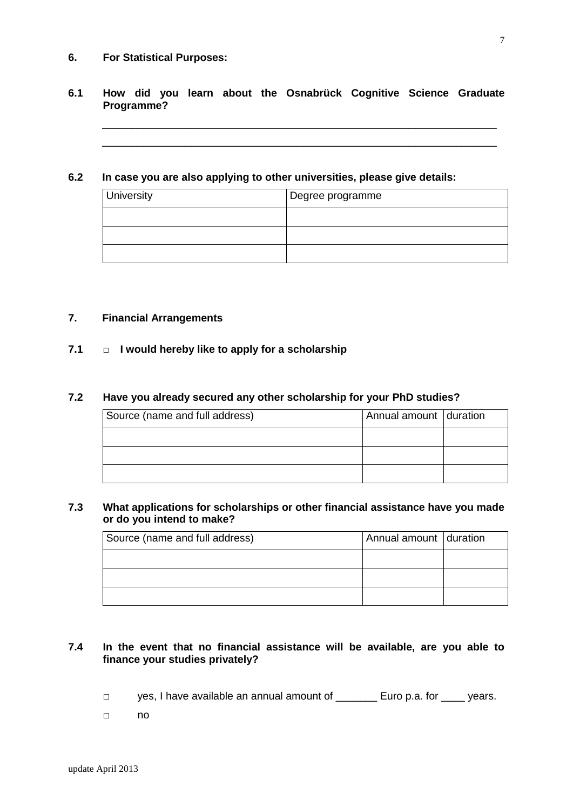#### **6. For Statistical Purposes:**

## **6.1 How did you learn about the Osnabrück Cognitive Science Graduate Programme?**

\_\_\_\_\_\_\_\_\_\_\_\_\_\_\_\_\_\_\_\_\_\_\_\_\_\_\_\_\_\_\_\_\_\_\_\_\_\_\_\_\_\_\_\_\_\_\_\_\_\_\_\_\_\_\_\_\_\_\_\_\_\_\_\_\_\_\_ \_\_\_\_\_\_\_\_\_\_\_\_\_\_\_\_\_\_\_\_\_\_\_\_\_\_\_\_\_\_\_\_\_\_\_\_\_\_\_\_\_\_\_\_\_\_\_\_\_\_\_\_\_\_\_\_\_\_\_\_\_\_\_\_\_\_\_

#### **6.2 In case you are also applying to other universities, please give details:**

| University | Degree programme |
|------------|------------------|
|            |                  |
|            |                  |
|            |                  |

#### **7. Financial Arrangements**

## **7.1 □ I would hereby like to apply for a scholarship**

### **7.2 Have you already secured any other scholarship for your PhD studies?**

| Source (name and full address) | Annual amount duration |  |
|--------------------------------|------------------------|--|
|                                |                        |  |
|                                |                        |  |
|                                |                        |  |

#### **7.3 What applications for scholarships or other financial assistance have you made or do you intend to make?**

| Source (name and full address) | Annual amount duration |  |
|--------------------------------|------------------------|--|
|                                |                        |  |
|                                |                        |  |
|                                |                        |  |

# **7.4 In the event that no financial assistance will be available, are you able to finance your studies privately?**

- □ yes, I have available an annual amount of \_\_\_\_\_\_\_ Euro p.a. for \_\_\_\_ years.
- □ no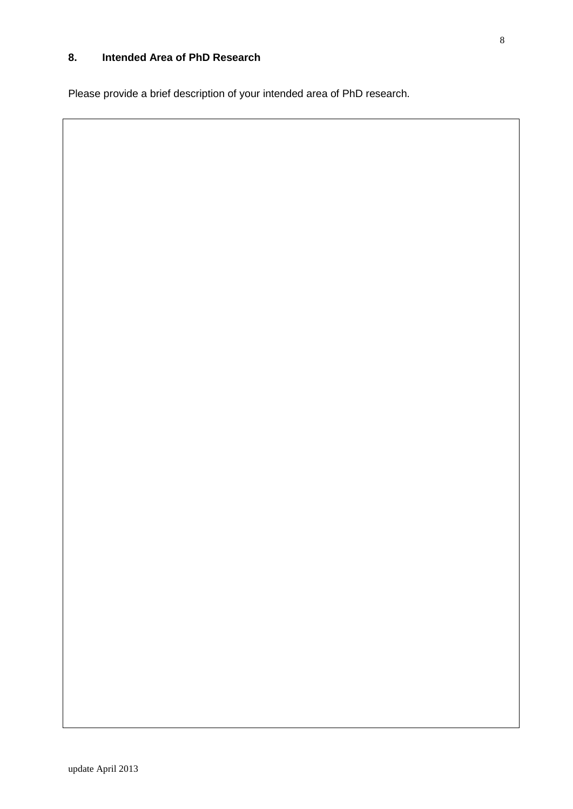# **8. Intended Area of PhD Research**

Please provide a brief description of your intended area of PhD research.